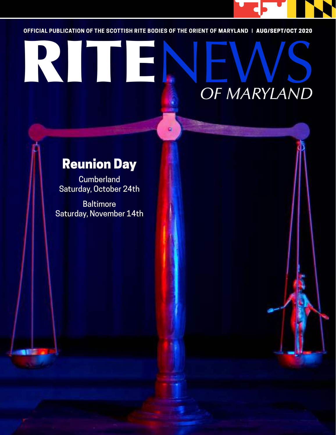

**OFFICIAL PUBLICATION OF THE SCOTTISH RITE BODIES OF THE ORIENT OF MARYLAND |** AUG/SEPT/OCT 2020

# OFFICIAL PUBLICATION OF THE SCOTTISH RITE BODIES OF THE ORIENT OF MARYLAND | AUG/SEPT/OCT 2020 *OF MARYLAND*

# Reunion Day

**Cumberland** Saturday, October 24th

**Baltimore** Saturday, November 14th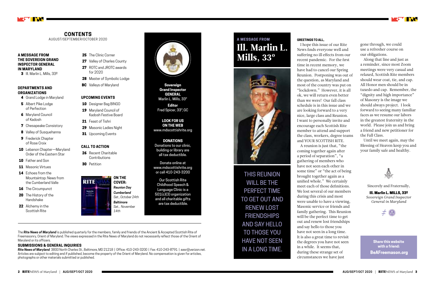#### **GREETINGS TO ALL,**

I hope this issue of our Rite "lockdown." However, it is all ok, we will return even better than we were! Our fall class schedule is in this issue and we A reunion is just that, "the coming together again after have not seen each other in unified whole." We certainly family gathering. This Reunion

News finds everyone well and suffering no ill effects from our recent pandemic. For the first time in recent memory, we have had to cancel our Spring Reunion. Postponing was out of the question, as Maryland and most of the country was put on are looking forward to a very nice, large class and Reunion. I want to personally invite and encourage each Scottish Rite member to attend and support the class, workers, degree teams and YOUR SCOTTISH RITE. a period of separation", "a gathering of members who some time" or "the act of being brought together again as a meet each of those definitions. We lost several of our members during this crisis and most were unable to have a viewing, Masonic service or friends and will be the perfect time to get out and renew lost friendships and say hello to those you have not seen in a long time. It is also a great time to revisit the degrees you have not seen in a while. It seems that, during these strange set of circumstances we have just

The *Rite News of Maryland* is published quarterly for the members, family and friends of the Ancient & Accepted Scottish Rite of Freemasonry, Orient of Maryland. The views expressed in the Rite News of Maryland do not necessarily reflect those of the Orient of Maryland or its officers.

#### **SUBMISSIONS & GENERAL INQUIRIES**

*Rite News of Maryland* 3800 North Charles St., Baltimore, MD 21218 | Office: 410-243-3200 | Fax: 410-243-8791 | aasr@verizon.net. Articles are subject to editing and if published, become the property of the Orient of Maryland. No compensation is given for articles, photographs or other materials submitted or published.

- 4 Grand Lodge in Maryland
- **5** Albert Pike Lodge of Perfection
- **6** Maryland Council of Kadosh
- **7** Chesapeake Consistory
- 8 Valley of Susquehanna
- **9** Frederick Chapter of Rose Croix
- 10 Lebanon Chapter-Maryland Order of the Eastern Star
- 10 Father and Son
- 11 Masonic Virtues
- 14 Echoes from the Mountaintop: News from the Cumberland Valle
- **16** The Circumpunct
- 20 The History of the Handshake
- 22 Alchemy in the Scottish Rite

### 25 The Clinic Corner

- 27 Valley of Charles County
- 27 ROTC and JROTC awards for 2020
- 28 Master of Symbolic Lodge
- **BC** Valleys of Maryland



#### **CONTENTS** AUGUST/SEPTEMBER/OCTOBER 2020

**Sovereign Grand Inspector GENERAL** Marlin L. Mills, 33°

**Editor** Fred Spicer, 33°, GC

#### **LOOK FOR US ON THE WEB** www.mdscottishrite.org

**DONATIONS** Donations to our clinic,

building or library are all tax deductible.

Donate online at www.mdscottishrite.org or call 410-243-3200

Our Scottish Rite Childhood Speech & Language Clinic is a 501(c)(3) organization and all charitable gifts are tax deductible.

### **ON THE COVER:**  *Reunion Day*

*Cumberland Sat., October 24th Baltimore Sat., November 14th*



gone through, we could use a refresher course on our obligations.

Along that line and just as a reminder, since most Zoom meetings were very casual and relaxed, Scottish Rite members should wear coat, tie, and cap. All Honor men should be in tuxedo and cap. Remember, the "dignity and high importance" of Masonry is the image we should always project. I look forward to seeing many familiar faces as we resume our labors in the greatest fraternity in the world. Please join us and bring a friend and new petitioner for the Fall Class.

Until we meet again, may the Blessing of Heaven keep you and your family safe and healthy.



THIS REUNION WILL BE THE PERFECT TIME TO GET OUT AND RENEW LOST FRIENDSHIPS AND SAY HELLO TO THOSE YOU HAVE NOT SEEN IN A LONG TIME.

## **A MESSAGE FROM** Ill. Marlin L. Mills, 33º



Sincerely and Fraternally,

Ill. Marlin L. MILLS, 33º *Sovereign Grand Inspector General in Maryland*



#### **A MESSAGE FROM THE SOVEREIGN GRAND INSPECTOR GENERAL IN MARYLAND**

3 Ill. Marlin L. Mills, 33º

#### **DEPARTMENTS AND ORGANIZATIONS**

#### **UPCOMING EVENTS**

- 10 Designer Bag BINGO
- 19 Maryland Council of Kadosh Festive Board
- 21 Feast of Tishri
- 29 Masonic Ladies Night
- **31** Upcoming Events

#### **CALL TO ACTION**

- 26 Recent Charitable Contributions
- **30** Petition



**Share this website with a friend: BeAFreemason.org**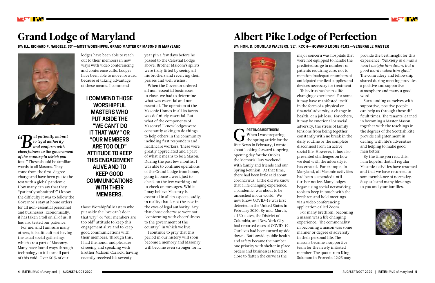$\sum_{\text{to legal authority} \text{submit}}$  **B** *to* legal authority
and conform with
cheerfulness to the governm *to legal authority and conform with cheerfulness to the government of the country in which you live."* These should be familiar words to all Masons. They come from the first-degree charge and have been put to the test with a global pandemic. How many can say that they "patiently submitted?" I know the difficulty it was to follow the Governor's stay at home orders for all non-essential personnel and businesses. Economically, it has taken a toll on all of us. It has also tested our patience.

For me, and I am sure many others, it is difficult not having the usual social gatherings which are a part of Masonry. Many have found ways through technology to fill a small part of this void. Over 50% of our



# Grand Lodge of Maryland

**BY: ILL. RICHARD P. NAEGELE, 33°—MOST WORSHIPFUL GRAND MASTER OF MASONS IN MARYLAND**



lodges have been able to reach out to their members in new ways with video conferencing and conference calls. Lodges have been able to move forward because of taking advantage of these means. I commend

those Worshipful Masters who put aside the "we can't do it that way" or "our members are too old" attitude to keep this engagement alive and to keep good communications with their members. Through this, I had the honor and pleasure of seeing and speaking with Brother Malcom Carrick, having recently received his seventy

year pin a few days before he passed to the Celestial Lodge above. Brother Malcom's spirits were truly lifted by seeing all his brothers and receiving their praises and well wishes.

When the Governor ordered all non-essential businesses to close, we had to determine what was essential and nonessential. The operation of the Masonic Homes in all its facets was definitely essential. But what of the components of Masonry? I know lodges were constantly asking to do things to help others in the community including first responders and healthcare workers. These were greatly appreciated and a part of what it means to be a Mason. During the past few months, I was able to continue operations of the Grand Lodge from home, going in once a week just to check on the few working and to check on messages. While I may believe Masonry is essential in all its aspects, sadly, in reality that is not the case in the eyes of legal authority. Any that chose otherwise were not "conforming with cheerfulness to the government of the country" in which we live.

I continue to pray that this period in our history will soon become a memory and Masonry will become even stronger for it.

G **REETINGS BRETHREN!**  When I was preparing the spring article for the Rite News in February, I wrote about looking forward to spring, opening day for the Orioles, the Memorial Day weekend with family and friends and our Spring Reunion. At that time, there had been little said about coronavirus. Little did we know that a life changing experience, a pandemic, was about to be unleashed in our world. We now know COVID-19 was first detected in the United States in February 2020. By mid-March, all 50 states, the District of Columbia, and New York City had reported cases of COVID-19. Our lives had been turned upside down. Nationwide public health and safety became the number one priority with shelter in place orders and businesses forced to close to flatten the curve as the

# Albert Pike Lodge of Perfection

**BY: HON. D. DOUGLAS WALTERS, 32°, KCCH—HOWARD LODGE #101—VENERABLE MASTER** 



major concern was hospitals that were not equipped to handle the predicted surge in numbers of patients requiring care, not to mention inadequate numbers of anticipated medical supplies and devices necessary for treatment. This virus has been a life changing experience! For some, it may have manifested itself in the form of a physical or financial adversity, a change in health, or a job loss. For others, it may be emotional or social adversity, the stress of family tensions from being together constantly with no break in the daily routine or the complete disconnect from an active social life. However, it has also presented challenges on how we deal with the adversity it has created. For example, in Maryland, all Masonic activities had been suspended until further notice. Many lodges began using social networking tools to keep in touch with the brethren and hold meetings via a video conferencing application called Zoom. For many brethren, becoming a mason was a life changing experience. The commonality in becoming a mason was some manner or degree of adversity in their personal life. The masons became a supportive team for the newly initiated member. The quote from King Solomon in Proverbs 12:25 may



provide the best insight for this experience: *"Anxiety in a man's heart weighs him down, but a good word makes him glad."*  The comradery and fellowship shared during meeting provides a positive and supportive atmosphere and many a good word.

Surrounding ourselves with supportive, positive people can help us through those difficult times. The tenants learned in becoming a Master Mason, together with the teachings in the degrees of the Scottish Rite, provide enlightenment in dealing with life's adversities and helping to make good men better.

By the time you read this, I am hopeful that all regular Masonic activities have resumed and that we have returned to some semblance of normalcy. Stay safe and many blessings to you and your families.



### **I COMMEND THOSE WORSHIPFUL MASTERS WHO PUT ASIDE THE "WE CAN'T DO IT THAT WAY" OR "OUR MEMBERS ARE TOO OLD" ATTITUDE TO KEEP THIS ENGAGEMENT ALIVE AND TO KEEP GOOD COMMUNICATIONS WITH THEIR MEMBERS.**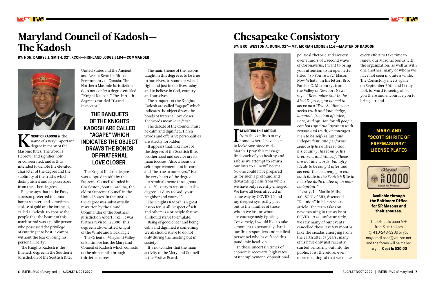NIGHT OF KADOSH is the name of a very import **NIGHT OF KADOSH** is the name of a very important Masonic Rites. The word is Hebrew, and signifies holy or consecrated, and is thus intended to denote the elevated character of the degree and the sublimity of the truths which distinguish it and its possessors from the other degrees.

Pluche says that in the East, a person preferred to honors bore a scepter, and sometimes a plate of gold on the forehead, called a Kadosh, to apprise the people that the bearer of this mark or rod was a public person who possessed the privilege of entering into hostile camps without the fear of losing his personal liberty.

The Knights Kadosh is the thirtieth degree in the Southern Jurisdiction of the Scottish Rite,



# Maryland Council of Kadosh— The Kadosh

**BY: HON. DARRYL J. SMITH, 32°, KCCH—HIGHLAND LODGE #184—COMMANDER**



United States and the Ancient and Accept Scottish Rite of Freemasonry of Canada. The Northern Masonic Jurisdiction does not confer a degree entitled "Knight Kadosh." The thirtieth degree is entitled "Grand Inspector."

The Knight Kadosh degree was adopted in 1801 by the Supreme Council founded in Charleston, South Carolina, the oldest Supreme Council in the United States. In the 1850's, the degree was substantially rewritten by the Grand Commander of the Southern jurisdiction Albert Pike. It was further revised in 2000. This degree is also entitled Knight of the White and Black Eagle.

The Orient of Maryland Valley of Baltimore has the Maryland Council of Kadosh which consists of the nineteenth through thirtieth degrees.

The main theme of the lessons taught in this degree is to be true to ourselves, to stand for what is right and just in our lives today and to believe in God, country and ourselves.

> I'M WRITING THIS ARTICLE<br>from the confines of my<br>home, where I have been **'M WRITING THIS ARTICLE**  from the confines of my in lockdown since mid-March. I pray this message finds each of you healthy and safe as we attempt to return our lives to a "new" normal. No one could have prepared us for such a profound and devastating crisis from which we have only recently emerged. We have all been affected in some way by COVID-19 and my deepest sympathy goes out to the families of those whom we lost or whom are courageously fighting. Conversely, I would like to take a moment to personally thank our first responders and medical personnel who have faced this pandemic head-on.

The banquets of the Knights Kadosh are called "agape" which indicates the object draws the bonds of fraternal love closer. The words mean *love feast.*

The debate of the Council must be calm and dignified. Harsh words and offensive personalities are strictly forbidden.

It appears that, like most of the degrees of the Scottish Rite, brotherhood and service are its main focuses. Also, a focus on self-improvement is at its core and "be true to ourselves," is at the very heart of the degree.

A seminal theme throughout all of Masonry is repeated in this degree - a duty to God, your neighbor and yourself.

The Knights Kadosh is a great lesson for us all. Respect of self and others is a principle that we all should strive to emulate.

Being of good cheer and being calm and dignified is something we all should strive to do not only during the meeting but in society.

It's no wonder that the main activity of the Maryland Council is the Festive Board.

**MARYLAND "SCOTTISH RITE OF FREEMASONRY" LICENSE PLATES**



**Available through the Baltimore Office for SR Masons and their spouses.**

The Office is open M-F from 9am to 4pm @ 410-243-3200 or you may email aasr@verizon.net and the forms will be mailed to you. **Cost is \$30.00**

In these uncertain times of economic recovery, high rates of unemployment, oppositional

# Chesapeake Consistory

# **BY: BRO. WESTON A. DUNN, 32°—MT. MORIAH LODGE #116—MASTER OF KADOSH**



political rhetoric and anxiety over rumors of a second wave of Coronavirus, I want to bring your attention to an open letter titled "So You're a 32° Mason, Now What?" In his letter, Bro. Patrick C. Murphrey, from the Valley of Newport News says, *"Remember that in the 32nd Degree, you vowed to serve as a 'True Soldier' who seeks truth and knowledge, demands freedom of voice, vote, and opinion for all people, combats spiritual tyranny with reason and truth, encourages men to be self-reliant and independent, and performs zealously his duties to God, his country, his family, his brethren, and himself. These are not idle words, but lofty ideals to be sought after and served. The best way you can contribute to the Scottish Rite is to strive daily to live up to your obligation."* 

Lastly, Ill. Marlin Mills, 33°, SGIG of MD, discussed "Reunion" in his previous article. The term takes on new meaning in the wake of COVID-19 as, unfortunately, we saw many of our events cancelled these last few months. Like the cicadas emerging from the earth after 17 years, many of us have only just recently started venturing out into the public. It is, therefore, even more meaningful that we make

every effort to take time to renew our Masonic bonds with the organization, as well as with one another; many of whom we have not seen in quite a while. The Consistory meets again on September 30th and I truly look forward to seeing all of you there and encourage you to bring a friend.

### **THE BANQUETS OF THE KNIGHTS KADOSH ARE CALLED "AGAPE" WHICH INDICATES THE OBJECT DRAWS THE BONDS OF FRATERNAL LOVE CLOSER.**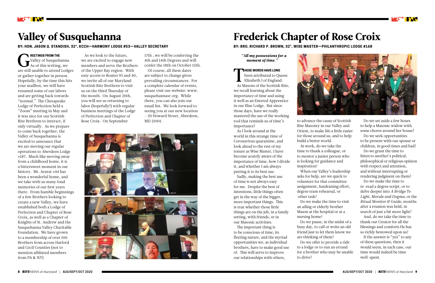

# Valley of Susquehanna

**BY: HON. JASON Q. STANDISH, 32°, KCCH—HARMONY LODGE #53—VALLEY SECRETARY**

# Frederick Chapter of Rose Croix

**BY: BRO. RICHARD P. BROWN, 32°, WISE MASTER—PHILANTHROPIC LODGE #168**

REETINGS FROM THE<br>Valley of Susquehanna<br>As of this writing, we **REETINGS FROM THE** Valley of Susquehanna. are still unable to attend Lodges or gather together in person. Hopefully, by the time this hits your mailbox, we will have resumed some of our labors and are getting back towards "normal." The Chesapeake Lodge of Perfection held a "Zoom" meeting in May and it was nice for our Scottish Rite Brethren to interact, if only virtually. As we prepare to come back together, the Valley of Susquehanna is excited to announce that we are moving our regular operations to Aberdeen Lodge #187. Much like moving away from a childhood home, it is a bittersweet moment in our history. Mt. Ararat #44 has been a wonderful home, and we take with us many fond memories of our first years there. From humble beginnings of a few Brothers looking to create a new Valley, we have established both a Lodge of Perfection and Chapter of Rose Croix, as well as a Chapter of Knights of St. Andrew and the Susquehanna Valley Charitable Foundation. We have grown to a membership of over 100 Brothers from across Harford and Cecil Counties (not to mention affiliated members from PA & NJ!)

T been attributed to Queen Elizabeth I of England. As Masons of the Scottish Rite, we recall learning about the importance of time and using it well as an Entered Apprentice in our Blue Lodge. But since those days, have we really mastered the use of the working importance? Rose Croix. On September MD 21001. MD 21001. Col that reminds us of time's to advance the cause of Scottish

#### *"All my possessions for a moment of time."*

**HESE WORDS HAVE LONG**

As I look around at the world in this strange time of Coronavirus quarantine, and look ahead to the rest of my tenure as Wise Master, I have become acutely aware of the importance of time, how I divide it, and whether I am always putting it to its best use.

Sadly, making the best use of time is not always easy for me. Despite the best of intentions, little things often get in the way of the bigger, more important things. This is true whether those little things are on the job, in a family setting, with friends, or in our Masonic activities.

The important thing is to be conscious of time, its fleeting nature, and the myriad opportunities we, as individual brothers, have to make good use of. This will serve to improve our relationships with others,



tool that reminds us of time's MD 21001. Do we set aside a few hours Rite Masonry in our Valley and Orient, to make life a little easier for those around us, and to help build a better world. At work, do we take the time to thank a colleague, or to mentor a junior person who is looking for guidance and inspiration?

As we look to the future, we are excited to engage new members and serve the Brothers of the Upper Bay region. With easy access to Routes 95 and 40, we invite all of our Maryland Scottish Rite Brethren to visit us on the third Thursday of the month. On August 20th, you will see us returning to labor (hopefully!) with regular business meetings of the Lodge of Perfection and Chapter of

> When our Valley's leadership asks for help, are we quick to volunteer for that committee assignment, fundraising effort, degree team rehearsal, or other task?

Do we make the time to visit an ailing or elderly brother Mason at the hospital or at a nursing home?

Do we pause, in the midst of a busy day, to call or write an old friend just to let them know we Do we offer to provide a ride

are thinking of them? to a lodge or to run an errand to drive?



for a brother who may be unable

17th , we will be conferring the 4th and 14th Degrees and will confer the 18th on October 15th.

Of course, all these dates are subject to change given prevailing circumstances. For a complete calendar of events, please visit our website: www. susquehannasr.org. While there, you can also join our email list. We look forward to seeing you at our new location – 20 Howard Street, Aberdeen,



to help a Masonic widow with some chores around her house?

Do we seek opportunities to be present with our spouse or children, in good times and bad?

Do we grant the time to listen to another's political, philosophical or religious opinion with respect and attention, and without interrupting or rendering judgment on them?

Do we make the time to re-read a degree script, or to delve deeper into *A Bridge To Light, Morals and Dogma,* or the *Ritual Monitor & Guide,* months after a reunion was held, in search of just a bit more light?

And, do we take the time to thank our Creator for all the blessings and comforts He has so richly bestowed upon us?

If the answer is "yes" to any of these questions, then it would seem, in each case, our time would indeed be time well-spent.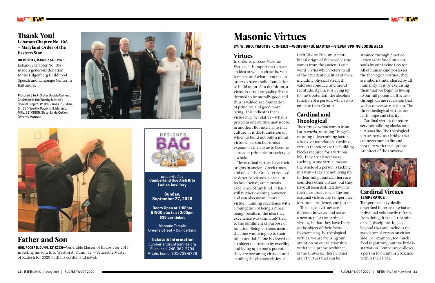**ON MONDAY, MARCH 16TH, 2020** Lebanon Chapter No. 108 made a generous donation to the Hilgenberg Childhood Speech and Language Center in Baltimore.

**Pictured L to R:** Sister Debbie Calhoun, Chairman of the Worthy Matron's Special Project; W. Bro. James P. Quillen, Sr., 32° (Worthy Patron), Ill. Marlin L. Mills, 33° (SGIG), Sister Linda Quillen (Worthy Matron)







## Thank You!

Lebanon Chapter No. 108 – Maryland Order of the Eastern Star

# Father and Son

# Masonic Virtues

#### **BY: W. BRO. TIMOTHY K. SHEILS—WORSHIPFUL MASTER—SILVER SPRING LODGE #215**

### Virtues

In order to discuss Masonic Virtues, it is important to have an idea of what a virtue is, what it means and what it entails, in order to have a solid foundation to build upon. As a definition, a virtue is a trait or quality that is deemed to be morally good and thus is valued as a foundation of principle and good moral being. This indicates that a virtue may be relative—what is prized in one culture may not be in another. But internal to that culture, it is the foundation on which to build not only a moral, virtuous person but to also expand on the virtue to become a broader principle for society as a whole.

### Cardinal and **Theological**

The cardinal virtues have their origins in ancient Greek times, and one of the Greek terms used to describe virtues is *arete*. In its basic sense, arete means excellence of any kind. It has a still further meaning however and can also mean "moral virtue." Linking excellence with a foundation of being a moral being, results in the idea that excellence was ultimately tied to the fulfillment of purpose or function. Being virtuous meant that one was living up to their full potential. If one is viewed as an object of creation by excelling and living up to one's potential, they are becoming virtuous and exuding the characteristics of

their Divine Creator. A more literal origin of the word virtue comes from the ancient Latin word *virtus* which refers to all of the excellent qualities of men, including physical strength, valorous conduct, and moral rectitude. Again, it is living up to one's potential, the absolute function of a person, which is to emulate their Creator.

The term *cardinal* comes from Latin *cardo,* meaning "hinge", meaning a determining factor, a basis, or foundation. Cardinal virtues therefore are the building blocks required for a virtuous life. They are all necessary. Lacking in one virtue, means the whole of a person is lacking in a way - they are not living up to their full potential. There are countless other virtues, but they have all been distilled down to their most basic form. The four cardinal virtues are: temperance, fortitude, prudence, and justice. different however and act as a next step for the cardinal virtues, in that they have Deity as the object of their focus. By exercising the theological virtues, we are focusing our attention on our relationship with the Supreme Architect of the Universe. These virtues aren't virtues that can be



Theological virtues are

attained through practice - they are infused into our souls by our Divine Creator. All of humankind possesses the theological virtues, they are inborn traits, shared by all humanity. It is by exercising them that we begin to live up to our full potential. It is also through divine revelation that we become aware of them. The three theological virtues are faith, hope and charity.

Cardinal virtues therefore serve as building blocks for a virtuous life. The theological virtues serve as a bridge that connects human life and morality with the Supreme Architect of the Universe.



### Cardinal Virtues **TEMPERANCE**

Temperance is typically described in terms of what an individual voluntarily refrains from doing, it is self-restraint or self-discipline. It goes beyond that and includes the avoidance of excess on either side. For example, too much food is gluttony, but too little is starvation. Temperance allows a person to maintain a balance within their lives.

**HON. ROGER D. DUNN, 32° KCCH—**Venerable Master of Kadosh for 2019 investing his son; Bro. Weston A. Dunn, 32°—Venerable Master of Kadosh for 2020 with his cordon and jewel.



*presented by*  **Cumberland Scottish Rite Ladies Auxiliary**

**Sunday, September 27, 2020**

**Doors Open at 1:00pm BINGO starts at 2:00pm \$25 per ticket**

Masonic Temple Greene Street • Cumberland

**Tickets & Information** cumberlandscottishrite.org Ellen, cell: 240-362-2704 Mitzie, home: 301-729-6778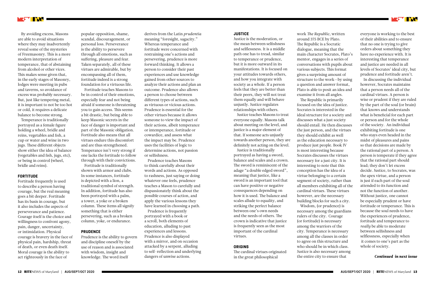By avoiding excess, Masons are able to avoid situations where they may inadvertently reveal some of the mysteries of Freemasonry. This is a more modern interpretation of temperance, that of abstaining from alcohol or other vices. This makes sense given that, in the early stages of Masonry, lodges were meeting in pubs and taverns, so avoidance of excess was probably necessary. But, just like tempering metal, it is important to not be too hot or cold, it requires a delicate balance to become strong.

Temperance is traditionally portrayed as a female figure holding a wheel, bridle and reins, vegetables and fish, a cup or water and wine in two jugs. These different objects show either the idea of balance (vegetables and fish, jugs, etc), or being in control (wheel, bridle and reins).

#### **FORTITUDE**

Fortitude frequently is used to describe a person having courage, but the real meaning goes a bit deeper. Fortitude has its basis in courage, but it also includes the aspects of perseverance and patience. Courage itself is the choice and willingness to confront agony, pain, danger, uncertainty, or intimidation. Physical courage is bravery in the face of physical pain, hardship, threat of death, or even death itself. Moral courage is the ability to act righteously in the face of

popular opposition, shame, scandal, discouragement, or personal loss. Perseverance is the ability to persevere through all emotions, such as suffering, pleasure and fear. Taken separately, all of these virtues are admirable, but by encompassing all of them, fortitude indeed is a strong foundation for a virtuous life.

Fortitude teaches Masons to be in control of their emotions, especially fear and not being afraid if someone is threatening you to gain access. This seems a bit drastic, but being able to keep Masonic secrets in the face of danger is important and part of the Masonic obligation. Fortitude also means that all virtues endure this discomfort and are thus strengthened. Temperance isn't very strong if one lacks the fortitude to follow through with their convictions.

Fortitude is traditionally shown with armor and clubs. In some instances, fortitude is depicted with a lion, a traditional symbol of strength. In addition, fortitude has also been portrayed with a palm, a tower, a yoke or a broken column. These items all signify something that is either persevering, such as a broken column, yoke, or endurance.

#### **PRUDENCE**

Prudence is the ability to govern and discipline oneself by the use of reason and is associated with wisdom, insight and knowledge. The word itself

derives from the Latin *prudentia* meaning "foresight, sagacity." Whereas temperance and fortitude were concerned with restraining one's actions and persevering, prudence is more forward thinking. It allows a person to consider their past experiences and use knowledge gained from other sources to analyze their actions and plan an outcome. Prudence also allows a person to choose between different types of actions, such as virtuous or vicious actions. Prudence is essential for the other virtues because it allows someone to view the impact of their actions, albeit temperance or intemperance, fortitude or cowardice, and assess what the impact may be. Prudence uses the facilities of logic to determine actions, not passion or selfishness.

Prudence teaches Masons to think carefully about their words and actions. As opposed to rashness, just saying or doing whatever one feels, prudence teaches a Mason to carefully and dispassionately think about the possible courses of action, and apply the various lessons they have learned in choosing a path.

Prudence is frequently portrayed with a book or a scroll, both elements of education, alluding to past experiences and lessons. Prudence is also displayed with a mirror, and on occasion attacked by a serpent, alluding to self-reflection and underlying dangers of unwise actions.

#### **JUSTICE**

Justice is the moderation, or the mean between selfishness and selflessness. It is a middle path one has to tread, similar to temperance or prudence, but it is more outward in its manifestations. It is focused on your attitudes towards others, and how you integrate with society as a whole. If a person feels that they are better than their peers, they will not treat them equally and will behave unjustly. Justice regulates relationships with others.

Justice teaches Masons to treat everyone equally. Masons talk about meeting on the level, and justice is a major element of that. If someone acts unjustly towards another person, they are definitely not acting on the level.

Justice is traditionally portrayed as having a sword, balance and scales and a crown. The sword is reminiscent of the adage "a double edged sword", meaning that justice, like a sword is an important tool that can have positive or negative consequences depending on how it is used. The balance and scales allude to equality, and striking the perfect balance between one's own needs and the needs of others. The crown is indicative that justice is frequently seen as the most important of the cardinal virtues.

#### **ORIGINS**

The cardinal virtues originated in the great philosophical

work *The Republic,* written around 375 BCE by Plato. The Republic is a Socratic dialogue, meaning that the main character Socrates, Plato's mentor, engages in a series of conversations with pupils about various subjects. This format gives a surprising amount of structure to the work—by using a question and answer format, Plato is able to posit an idea and examine it from all angles. The Republic is primarily focused on the idea of justice. Socrates is interested in the ideal structure for a society and discusses what a just society should entail. He then discusses the just person, and the virtues they should exhibit as well as the education necessary to produce just people. Book IV is most interesting because Socrates discusses the virtues necessary for a just city. It is interesting to note that this conception has the idea of a virtue belonging to a certain segment of society, rather than all members exhibiting all of the cardinal virtues. These virtues however, are the necessary building blocks for such a city. Wisdom, (or prudence) is necessary among the guardians rulers of the city. Courage (or fortitude) is necessary among the warriors of the city. Temperance is necessary among all the classes in order to agree on this structure and who should be in which class. Justice is also necessary among the entire city to ensure that



everyone is working to the best of their abilities and to ensure that no one is trying to give orders about something they have no experience with. It is interesting that temperance and justice are needed in all levels of Socrates' ideal city, but prudence and fortitude aren't.

In discussing the individual however, Socrates maintains that a person needs all of the cardinal virtues. A person is wise or prudent if they are ruled by the part of the soul (or brain) that knows and understands what is beneficial for each part or person and for the whole of the society. An individual exhibiting fortitude is one who stays even headed in the midst of pleasures and pains so that decisions are made by the rational part of a person. A person is temperate if they agree that the rational part should lead; they don't let excess decide. Justice, to Socrates, was the apex virtue, and a person is just if each part of the soul attended to its function and not the function of another. Without justice, one cannot be especially prudent or have fortitude or temperance. This is because the soul needs to have the experiences of prudence, fortitude and temperance to *really* be able to moderate between selfishness and selflessness, especially when it comes to one's part as the whole of society.

#### *Continued in next issue*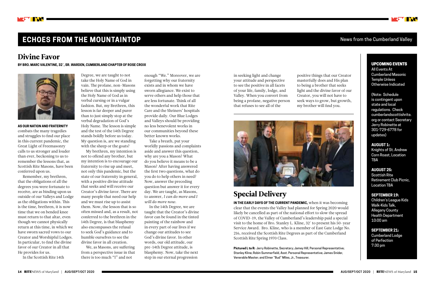# **ECHOES FROM THE MOUNTAINTOP News from the Cumberland Valley**

**AS OUR NATION AND FRATERNITY** combats the many tragedies and struggles to find our place in this current pandemic, the Great Light of Freemasonry calls to us stronger and louder than ever, beckoning to us to remember the lessons that, as Scottish Rite Masons, have been conferred upon us.

Remember, my brethren, that the obligations of all the degrees you were fortunate to receive, are as binding upon us outside of our Valleys and Lodge as the obligations within. This is the time, brethren, it is now time that we on bended knee must return to that altar, even though we cannot physically return at this time, in which we have sworn sacred vows to our Creator and Worshipful Lodges. In particular, to find the divine favor of our Creator in all that He provides for us.

In the Scottish Rite 14th

## Divine Favor

# Special Delivery

**IN THE EARLY DAYS OF THE CURRENT PANDEMIC,** when it was becoming clear that the events the Valley had planned for Spring 2020 would likely be cancelled as part of the national effort to slow the spread of COVID-19, the Valley of Cumberland's leadership paid a special visit to the home of Bro. Stanley L. Kline, 32˚ to present his 50-year Service Award. Bro. Kline, who is a member of East Gate Lodge No. 216, received the Scottish Rite Degrees as part of the Cumberland Scottish Rite Spring 1970 Class.

**Pictured L to R:** Jerry Robinette, Secretary; Jamey Hill, Personal Representative; Stanley Kline; Robin Summerfield, Asst. Personal Representative; James Snider, Venerable Master; and Elmer "Bud" Miles, Jr., Treasurer.



#### UPCOMING EVENTS

All Events At Cumberland Masonic Temple Unless Otherwise Indicated

(Note: Schedule is contingent upon state and local regulations. Check cumberlandscottishrite. org or contact Secretary Jerry Robinette at 301-729-6778 for updates)

**AUGUST 1:** Knights of St. Andrew Corn Roast, Location TBA

**AUGUST 25:** Scottish Rite Retirement Club Picnic, Location TBA

**SEPTEMBER 19:**  Children's League Kids Walk-Kids Talk, Allegany County Health Department 10:00 am

**SEPTEMBER 21:** Cumberland Lodge of Perfection 7:30 pm

Degree, we are taught to not take the Holy Name of God in vain. The profane, non-Masons believe that this is simply using the Holy Name of God as in verbal cursing or in a vulgar fashion. But, my Brethren, this lesson is far deeper and purer than to just simply stop at the verbal degradation of God's Holy Name. The lesson is simple and the test of the 14th Degree stands boldly before us today. My question is, are we standing

with the sheep or the goats? My brethren, my intention is not to offend any brother, but my intention is to encourage our fraternity to rise up and meet, not only this pandemic, but the state of our fraternity in general, with a positive divine attitude that seeks and will receive our Creator's divine favor. There are many people that need our help and we must rise up to assist them. Now, the lesson that is so often missed and, as a result, not conferred to the brethren in the 14th Degree, is that blasphemy also encompasses the refusal to seek God's guidance and to humble ourselves to see the divine favor in all creation.

We, as Masons, are suffering from a perspective issue in that there is too much "I" and not

**BY BRO. MARC VALENTINE, 32˚, SR. WARDEN, CUMBERLAND CHAPTER OF ROSE CROIX**



enough "We." Moreover, we are forgetting why our fraternity exists and in whom we have sworn allegiance. We exist to serve others and help those that are less fortunate. Think of all the wonderful work that Rite Care and the Shriners' hospitals provide daily. Our Blue Lodges and Valleys should be providing no less benevolent works in our communities beyond these better known works.

Take a breath, put your worldly passions and complaints aside and answer this question, why are you a Mason? What do you believe it means to be a Mason? After having answered the first two questions, what do you do to help others in need? Now, answer the preceding question but answer it for every day. We are taught, as Masons, to answer, *I can do more and I will do more now.*

In the 14th Degree, we are taught that the Creator's divine favor can be found in the tinted painting of the rainbow and in every part of our lives if we change our attitudes to see God's divine favor. In other words, our old attitude, our pre-14th Degree attitude, is blasphemy. Now, take the next step in our eternal progression

in seeking light and change your attitude and perspective to see the positive in all facets of your life, family, lodge, and Valley. When you convert from being a profane, negative person that refuses to see all of the

positive things that our Creator masterfully does and His plan to being a brother that seeks light and the divine favor of our Creator, you will not have to seek ways to grow, but growth, my brother will find you.

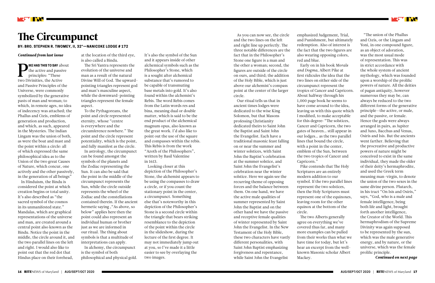T INN

# The Circumpunct

**BY: BRO. STEPHEN R. TWOMEY, II, 32°—NANICOKE LODGE # 172**

*Continued from last issue*

P **IKE HAS THIS TO SAY** about the active and passive principles: "These two Divinities, the Active and Passive Principles of the Universe, were commonly symbolized by the generative pasts of man and woman; to which, in remote ages, no idea of indecency was attached; the Phallus and Cteis, emblems of generation and production, and which, as such, appeared in the Mysteries. The Indian Lingam was the union of both, as were the boat and mast and the point within a circle: all of which expressed the same philosophical idea as to the Union of the two great Causes of Nature, which concur, one actively and the other passively, in the generation of all beings"

In Hinduism, the Bindu is considered the point at which creation begins or total unity. It's also described as "the sacred symbol of the cosmos in its unmanifested state." Mandalas, which are graphical representations of the universe and man, are created around a central point also known as the Bindu. Notice the point in the middle, the circle around it, and the two parallel lines on the left and right. I would also like to point out that the red dot that Hindus place on their forehead,

at the location of the third eye, is also called a Bindu.

The Sri Yantra represents the evolution of the universe and man as a result of the natural Divine Will of God. The upwardpointing triangles represent god and man's masculine aspect, while the downward-pointing triangles represent the female aspect.

To the Pythagoreans, the point and circle represented eternity, whose "centre is everywhere and the circumference nowhere." The point and the circle represent potentiality, which is the point, and fully manifest as the circle.

In astrology, the circumpunct can be found amongst the symbols of the planets and the Zodiac representing the Sun. It can also be said that the point in the middle of the circumpunct represents the Sun, while the circle outside represents the wheel of the Zodiac and the constellations contained therein. If the ancient hermetic saying ,"As above, so below" applies here then the point could also represent an individual human or brother just as we are informed in our ritual. The thing about symbols is that a multitude of interpretations can apply.

In alchemy, the circumpunct is the symbol of both philosophical and physical gold. It's also the symbol of the Sun and it appears inside of other alchemical symbols such as the Philosopher's Stone, which is a sought after alchemical substance that's rumored to be capable of transmuting base metals into gold. It's also found within the alchemist's Rebis. The word Rebis comes from the Latin words res and bina, meaning dual or double matter, which is said to be the end product of the alchemical magnum opus, also known as the great work. I'd also like to point out the use of the square and compasses within the rebis. This Rebis is from the work "Azoth of the Philosophers", written by Basil Valentine in 1613.

Looking closer at this depiction of the Philosopher's Stone, the alchemist appears to be using the compasses to draw a circle, or if you count the stationary point in the center, a circumpunct. Something else that's noteworthy in this depiction of the Philosopher's Stone is a second circle within the triangle that bears striking resemblance to the depiction of the point within the circle in the slideshow, during the lecture of the first degree. It may not immediately jump out at you, so I've made it a little easier to see by overlaying the two images.

As you can now see, the circle and the two lines on the left and right line up perfectly. The three notable differences are the fact that in the Philosopher's Stone one figure is a man and the other a woman; second, the figures are outside of the circle on ours, and third; the addition of the Holy Bible, which is just above our alchemist's compass point at the center of the larger circle.

Our ritual tells us that in ancient times lodges were dedicated to the wise King Solomon, but that Masons professing Christianity dedicated theirs to Saint John the Baptist and Saint John the Evangelist. Each have a traditional masonic feast falling on or near the summer and winter solstices, with Saint John the Baptist's celebration at the summer solstice, and Saint John the Evangelist's celebration near the winter solstice. Here we again see the recurring theme of opposing forces and the balance between them. On one hand, we have the active male qualities of summer represented by Saint John the Baptist and on the other hand we have the passive and receptive female qualities of winter represented by Saint John the Evangelist. In the New Testament of the Holy Bible, these two characters have vastly different personalities, with Saint John Baptist emphasizing forgiveness and repentance, while Saint John the Evangelist

emphasized Judgement, Trial, and Punishment, but ultimately redemption. Also of interest is the fact that the two figures are also wearing opposing colors, red and blue.

Early on in his book *Morals and Dogma*, Albert Pike at first ridicules the idea that the two lines on either side of the circumpunct represent the tropics of Cancer and Capricorn. About halfway through his 1,000 page book he seems to have come around to the idea, leaving us with this quote which I modified, to make acceptable for this degree: "The solstices, Cancer and Capricorn, the two gates of heaven… still appear in our lodges… as the two parallel lines that bound the circle, with a point in the center, emblem of the Sun, between the two tropics of Cancer and Capricorn."

Pike contends that The Holy Scriptures are an entirely modern addition to our symbol. If the two parallel lines represent the two solstices, then the Holy Scriptures must represent one of the equinoxes, leaving room for the other equinox at the bottom of the circle.

The two Alberts generally agree on everything we've covered thus far, and many more examples can be pulled from their works than what we have time for today, but let's hear an excerpt from the wellknown Masonic scholar Albert Mackey.

"The union of the Phallus and Cteis, or the Lingam and Yoni, in one compound figure, as an object of adoration, was the most usual mode of representation. This was in strict accordance with the whole system of ancient mythology, which was founded upon a worship of the prolific powers of nature. All the deities of pagan antiquity, however numerous they may be, can always be reduced to the two different forms of the generative principle—the active, or male, and the passive, or female. Hence the gods were always arranged in pairs, as Jupiter and Juno, Bacchus and Venus, Osiris and Isis. But the ancients went farther. Believing that the procreative and productive powers of nature might be conceived to exist in the same individual, they made the older of their deity's hermaphrodite, and used the Greek term meaning man-virgin, to denote the union of the two sexes in the same divine person. Plutarch, in his tract "On Isis and Osiris," says, "God, who is a male and female intelligence, being both life and light, brought forth another intelligence, the Creator of the World. This hermaphrodism of the Supreme Divinity was again supposed to be represented by the sun, which was the male generative energy, and by nature, or the universe, which was the female prolific principle.

*Continued on next page*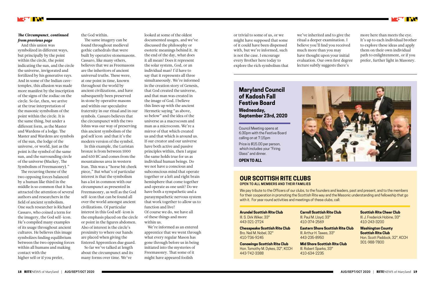or trivial to some of us, or we might have supposed that some of it could have been dispensed with, but we're informed, such is not the case. I encourage every Brother here today to explore the rich symbolism that

#### *The Circumpunct, continued from previous page*

And this union was symbolized in different ways, but principally by the point within the circle, the point indicating the sun, and the circle the universe, invigorated and fertilized by his generative rays. And in some of the Indian cavetemples, this allusion was made more manifest by the inscription of the signs of the zodiac on the circle. So far, then, we arrive at the true interpretation of the masonic symbolism of the point within the circle. It is the same thing, but under a different form, as the Master and Wardens of a lodge. The Master and Wardens are symbols of the sun, the lodge of the universe, or world, just as the point is the symbol of the same sun, and the surrounding circle of the universe (Mackey, The Symbolism of Freemasonry)."

The recurring theme of the two opposing forces balanced by a human like third in the middle is so common that it has attracted the attention of several authors and researchers in the field of ancient symbolism. One such researcher is Richard Cassaro, who coined a term for the imagery, the God self-icon. He's compiled many examples of its usage throughout ancient cultures. He believes this image symbolizes finding equilibrium between the two opposing forces within all humans and making contact with the higher self or if you prefer,

we've inherited and to give the ritual a deeper examination. I believe you'll find you received much more than you may have thought upon your initial evaluation. Our own first degree lecture subtly suggests there's

#### the God within.

The same imagery can be found throughout medieval gothic cathedrals that were built by operative stonemasons. Cassaro, like many others, believes that we as Freemasons are the inheritors of ancient universal truths. These were, at one point in time, known throughout the world by ancient civilizations, and have subsequently been preserved in stone by operative masons and within our speculative fraternity in our ritual and in our symbols. Cassaro believes that the circumpunct with the two Johns was our way of preserving this ancient symbolism of the god self icon and that it's the modern version of the symbol.

In this example, the Luristan bronze is from between 1000 and 650 BC and comes from the mountainous area in western Iran. This was a "horse bit cheek piece," But what's of particular interest is that the symbolism has a lot in common with our circumpunct as presented in Freemasonry, as well as the God self-icon that can be found all over the world amongst ancient civilizations. Of particular interest in this God self-icon is the emphasis placed on the circle or point in the figures abdomen. Also of interest is the circle's proximity to where our hands are placed when giving the Entered Apprentices due guard.

So far we've talked at length about the circumpunct and its many forms over time. We've

more here than meets the eye. It's up to each individual brother to explore these ideas and apply them on their own individual path to enlightenment, or if you prefer, further light in Masonry.



looked at some of the oldest documented usages, and we've discussed the philosophy or esoteric meanings behind it. At the end of the day, what does it all mean? Does it represent the solar system, God, or an individual man? I'd have to say that it represents all three simultaneously. We're informed in the creation story of Genesis, that God created the universe, and that man was created in the image of God. I believe this lines up with the ancient Hermetic saying "as above, so below" and the idea of the universe as a macrocosm and man as a microcosm. We're a mirror of that which created us and that which is around us. If our creator and our universe have both active and passive principles within, then I argue the same holds true for us as individual human beings. Do we not have a conscious and subconscious mind that operate together or a left and right brain hemisphere that come together and operate as one unit? Do we have both a sympathetic and a parasympathetic nervous system that work together to allow us to function and live? Of course we do, we have all of these things and more within us.

We're informed as an entered apprentice that we went through what every regular Mason has gone through before us in being initiated into the mysteries of Freemasonry. That some of it might have appeared foolish

#### **OUR SCOTTISH RITE CLUBS OPEN TO ALL MEMBERS AND THEIR FAMILIES**

We pay tribute to the Officers of our clubs, to the founders and leaders, past and present, and to the members for their cooperation in promoting the Scottish Rite way and the Masonic understanding and fellowship that go with it. For year round activities and meetings of these clubs, call:

#### **Arundel Scottish Rite Club** Ill. S. Dirk Wiker, 33°

443-321-2724

**Chesapeake Scottish Rite Club** Bro. Neil M. Nobel, 32° 410-736-9245

**Conowingo Scottish Rite Club** Hon. Tomothy M. Dykes, 32°, KCCH 443-742-3388

**Carroll Scottish Rite Club** Ill. Paul M. Lloyd, 33° 410-374-2569

**Eastern Shore Scottish Rite Club** Ill. Arthur H. Tawes, 33° 443-235-8950

**Mid Shore Scottish Rite Club** Ill. Robert Sparks, 33° 410-634-2235



**Scottish Rite Cheer Club** III. J. Frederick Hobine, 33° 410-243-3200

**Washington County Scottish Rite Club** Hon. Scott Paddock, 32°, KCCH 301-988-7800

### **Maryland Council of Kadosh Fall Festive Board Wednesday, September 23rd, 2020**

Council Meeting opens at 6:30pm with the Festive Board calling on at 7:15pm

Price is \$15.00 per person, which includes your "Firing Glass" and dinner.

**OPEN TO ALL**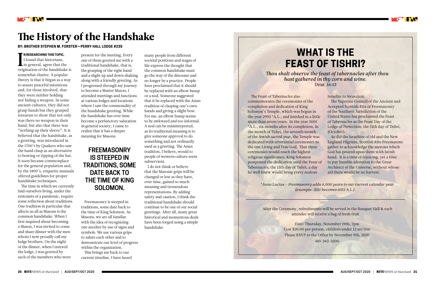**I N RESEARCHING THIS TOPIC,<br>I found that historians,<br>in general, agree that the N RESEARCHING THIS TOPIC,**  I found that historians, origination of the handshake is somewhat elusive. A popular theory is that it began as a way to assure peaceful intentions and, for those involved, that they were neither holding nor hiding a weapon. In some ancient cultures, they did not grasp hands but they grasped forearms to show that not only was there no weapon in their hand, but also that there was "nothing up their sleeve". It is believed that the handshake, as a greeting, was introduced in the 1700's by Quakers who saw the hand clasp as an alternative to bowing or tipping of the hat. It soon became commonplace for the general population and, by the 1800's, etiquette manuals offered guidelines for proper handshake techniques.

The time in which we currently find ourselves living, under the restraints of a pandemic, require some reflection about traditions. One tradition in particular that affects us all as Masons is the common handshake. When I first inquired about becoming a Mason, I was invited to come and share dinner with the men whom I now proudly call my lodge brothers. On the night of the dinner, when I entered the lodge, I was greeted by each of the members who were



# The History of the Handshake

#### **BY: BROTHER STEPHEN M. FORSTER—PERRY HALL LODGE #235**

present for the meeting. Every one of them greeted me with a traditional handshake, that is, the grasping of the right hand and a slight up and down shaking along with a friendly greeting. As I progressed through my journey to become a Master Mason, I attended meetings and functions at various lodges and locations where I saw the commonality of the handshake greeting. While the handshake has over time become a perfunctory salutation in general society, I came to realize that it has a deeper meaning for Masons.

Freemasonry is steeped in traditions, some date back to the time of King Solomon. As Masons, we are all familiar with the idea of recognizing one another by use of signs and symbols. We use various grips to salute each other and to demonstrate our level of progress within the organization.

This brings me back to our current timeline. I have heard many people from different societal positions and stages of life express the thought that the common handshake must go the way of the dinosaur and no longer be a practice. People have proclaimed that it should be replaced with an elbow bump or a nod. Someone suggested that it be replaced with the Asian tradition of clasping one's own hands and giving a slight bow. For me, an elbow bump seems to be awkward and too informal. A nod can be misinterpreted, as its traditional meaning is to give someone approval to do something and not ordinarily used as a greeting. The Asian tradition, I believe, would to people of western culture seem subservient.

I do not think or believe that the Masonic grips will be changed or lost as they have, over time, gained so much meaning and tremendous representations. By adding safety and caution, I think the traditional handshake should continue to be one of our social greetings. After all, many great historical and momentous deals have been forged using a simple handshake.

 After the Ceremony, refreshments will be served in the Banquet Hall & each attendee will receive a bag of fresh fruit

> Date: Thursday, November 19th, 7pm Cost \$20.00 per person, children under 12 are free Please RSVP to the Office by November 9th, 2020 410-243-3200

# **WHAT IS THE FEAST OF TISHRI?**

*Thou shalt observe the feast of tabernacles after thou hast gathered in thy corn and wine. Deut. 16:13*

The Feast of Tabernacles also commemorates the ceremonies of the completion and dedication of King Solomon's Temple, which was begun in the year 2992 \*A.L., and finished in a little more than seven years. In the year 3001 \*A.L., six months after its completion, in the month of Tishri, the seventh month of the Jewish sacred year, the Temple was dedicated with reverential ceremonies to the one Living and True God. That these ceremonies would reach the highest religious significance, King Solomon postponed the dedication until the Feast of Tabernacles, the 15th day of Tishri, a day he well knew would bring every zealous

Israelite to Jerusalem.

The Supreme Council of the Ancient and Accepted Scottish Rite of Freemasonry of the Southern Jurisdiction of the United States has proclaimed the Feast of Tabernacles as the Feast Day of the Lodge of Perfection, the 15th day of Tishri, (October).

As did the Israelites of old and the New England Pilgrims, Scottish Rite Freemasons gather to acknowledge the mercies which God has poured upon them with lavish hand. It is a time of rejoicing, yet a time to pay humble adoration to the Great Architect of the Universe, without whose aid there would be no harvest.

*\*Anno Lucius – Freemasonry adds 4,000 years to our current calendar year (example: 2011 becomes 6011 A.L.).*

### **FREEMASONRY IS STEEPED IN TRADITIONS, SOME DATE BACK TO THE TIME OF KING SOLOMON.**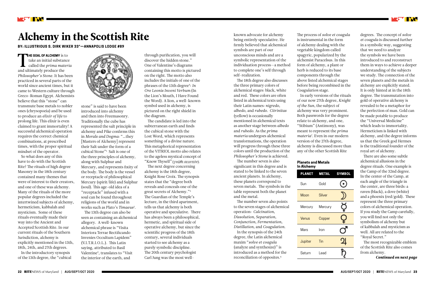T **HE GOAL OF ALCHEMY** is to take an initial substance called the *prima materia*  and ultimately produce the *Philosopher's Stone.* It has been practiced in several parts of the world since ancient times, but it came to Western culture through Greco-Roman Egypt. Alchemists believe that this "stone" can transmute base metals to nobler ones (chrysopoeia) and be used to produce an *elixir of life* to prolong life. This elixir is even claimed to grant immortality! A successful alchemical operation requires the correct chemical combinations, at prescribed times, with the proper spiritual mindset of the operator.

**TAN** 

So what does any of this have to do with the Scottish Rite? The rituals of high degree Masonry in the 18th century contained many themes that were of interest to their creators, and one of these was alchemy. Many of the rituals of the more popular degrees included the intertwined subjects of alchemy, hermeticism, kabbalah and mysticism. Some of these rituals eventually made their way into the Ancient and Accepted Scottish Rite. In our current rituals of the Southern Jurisdiction, alchemy is explicitly mentioned in the 13th, 18th, 24th, and 27th degrees.

In the introductory synopsis of the 13th degree, the "cubical



# Alchemy in the Scottish Rite

**BY: ILLUSTRIOUS S. DIRK WIKER 33°—ANNAPOLIS LODGE #89**

The number seven also points to the seven stages of alchemical operation: *Calcination, Dissolution, Separation, Conjunction, Fermentation, Distillation,* and *Coagulation.* In the synopsis of the 24th degree, the Latin alchemical maxim "*solve et coagula* (analyze and synthesize)" is introduced as a method for the reconciliation of opposites.<sup>6</sup>

stone" is said to have been introduced into alchemy and then into Freemasonry. Traditionally the cube has represented the salt principle in alchemy and Pike confirms this in *Morals and Dogma*: "…they [Masters of Alchemy] represent their Salt under the form of a cubical Stone"<sup>1</sup> Salt is one of the three principles of alchemy, along with Sulphur and Mercury, and represents fixity of the body. The body is the vessel or receptacle of philosophical Mercury (spirit/life) and Sulphur (soul). This age-old idea of a "receptacle" infused with a soul can be found throughout religions of the world and in works such as Plato's *Timaeus<sup>2</sup>* .

The candidate is led into the subterranean earth and finds the cubical stone with the Lost Word, which represents something of a divine nature. This metaphorical representation of the VITRIOL motto also relates to the ageless mystical concept of "Know Thyself" (yvωθι σεαυτόν).

The 13th degree can also be seen as containing an alchemical allegory. A well-known alchemical phrase is "Visita Interiora Terrae Rectificando Invenies Occultum Lapidem" (V.I.T.R.I.O.L.). This Latin saying, attributed to Basil Valentine<sup>3</sup> , translates to "Visit the interior of the earth, and

known advocate for alchemy being entirely speculative. He firmly believed that alchemical symbols are part of our unconscious minds and are a symbolic representation of the individuation process—a method to complete one's self through self-realization.

The 18th degree also discusses the three primary colors of alchemical stages: black, white and red. These colors are often listed in alchemical texts using their Latin names: *nigredo, albedo,* and *rubedo. Citrinitas* (yellow) is occasionally mentioned in alchemical texts as another stage between *albedo* and *rubedo.* As the *prima materia* undergoes alchemical transformations, the operation will progress through these three colors until the production of the *Philosopher's Stone* is achieved.

The number seven is also significant in this degree and is stated to be linked to the seven ancient planets. In alchemy, these planets correspond to seven metals. The symbols in the table represent both the planet and the metal.

through purification, you will discover the hidden stone." One of Valentine's diagrams containing this motto is pictured on the right. The motto also includes the initials of one of the phrases of the 13th degree<sup>4</sup>: In *Ore Leonis Inveni Verbum* (In the Lion's Mouth, I Have Found the Word). A lion, a well-known symbol used in alchemy, is pictured on the right shield in the diagram.

The next degree concerning alchemy is the 18th degree, Knight Rose Croix. The synopsis states that the "degree both reveals and conceals one of the great secrets of Alchemy."<sup>5</sup> The Guardian of the Temple's lecture, in the third apartment, tells us that alchemy is both operative and speculative. There has always been a philosophical, hermetic, and spiritual side of operative alchemy, but since the scientific progress of the 18th century, several individuals started to see alchemy as a purely symbolic discipline. The 20th century psychologist Carl Jung was the most well-

The process of *solve et coagula* is instrumental in the form of alchemy dealing with the vegetable kingdom called spagyric, popularized by the alchemist Paracelsus. In this form of alchemy, a plant or herb is reduced to its base components through the above listed alchemical stages before being recombined in the *Coagulation* stage. In early versions of the rituals

of our now 27th degree, *Knight of the Sun,* the subject of alchemy was very prominent. Both passwords for the degree relate to alchemy, and one, "Stibium" (Antimony), was meant to represent the *prima materia<sup>7</sup> .* Even in our modern version of the 27th degree, alchemy is discussed more than any of the other Scottish Rite

degrees. The concept of *solve et coagula* is discussed further in a symbolic way, suggesting that we need to analyze the symbols we have been introduced to and reconstruct them in ways to achieve a deeper understanding of the subjects we study. The connection of the seven planets and the metals in alchemy are explicitly stated. It is only hinted at in the 18th degree. The transmutation into gold of operative alchemy is revealed to be a metaphor for the perfection of man. Gold can be made potable to produce the "Universal Medicine" which leads to immortality. Hermeticism is linked with alchemy, and the degree informs us that the Greek god Hermes is the traditional founder of the royal art of alchemy.

There are also some subtle alchemical allusions in the degree rituals. One example is the Camp of the 32nd degree. In the center of the Camp, at each angle of the triangle in the center, are three birds: a raven (black), a dove (white) and a phoenix (red/gold). These represent the three primary colors of alchemical operation. If you study the Camp carefully, you will find not only the symbolism of alchemy but of kabbalah and mysticism as well. All are related to the "Royal Secret."

The most recognizable emblem of the Scottish Rite also comes from alchemy.

*Continued on next page* 

#### **Planets and Metals In Alchemy**

| <b>PLANET</b> | <b>METAL</b> | <b>SYMBOL</b> |
|---------------|--------------|---------------|
| Sun           | Gold         |               |
| Moon          | Silver       |               |
| Mercury       | Mercury      |               |
| Venus         | Copper       |               |
| Mars          | Iron         |               |
| Jupiter       | Tin          |               |
| Saturn        | Lead         |               |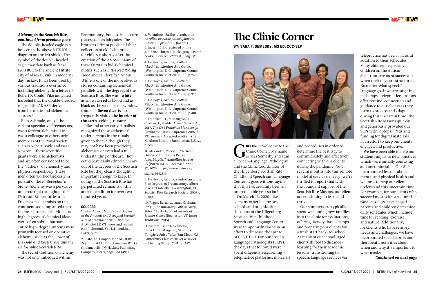REETINGS! Welcome to the<br>Clinic Corner. My name<br>is Sara Semesky and I am **REETINGS!** Welcome to the Clinic Corner. My name a Speech-Language Pathologist and the Clinic Coordinator of the Hilgenberg Scottish Rite Childhood Speech and Language Center. It goes without saying that this has certainly been an unpredictable year so far!

On March 13, 2020, like so many other businesses, schools and organizations, the doors of the Hilgenberg Scottish Rite Childhood Speech and Language Center were temporarily closed in an effort to decrease the spread of COVID-19. For our Speech-Language Pathologists (SLPs), the days that followed were spent diligently researching telepractice platforms, materials

# The Clinic Corner

**BY: SARA F. SEMESKY, MS ED, CCC-SLP**



and procedures in order to determine the best way to continue safely and effectively connecting with our clients during the pandemic. Now, several months into this remote model of service delivery, we're thrilled to report that with the abundant support of the Scottish Rite Masons, our clients are continuing to learn and thrive!

Our summers are typically spent welcoming new families into the clinic for evaluations, offering literacy-based camps and preparing our clients for a fresh start back-to-school. As many of our school-aged clients shifted to distancelearning for their academic lessons, transitioning to speech/language services via



The double-headed eagle can be seen in the above VITRIOL diagram on the left shield. The symbol of the double-headed eagle may date back as far as 1200 BCE to the ancient Hittite city of Alaca Hüyük<sup>s</sup> in modernday Turkey. It has been used by various traditions ever since, including alchemy. In a letter to Robert F. Gould, Pike indicated his belief that the double-headed eagle of the A&ASR derived from hermetic and alchemical sources.<sup>9</sup>

telepractice has been a natural addition to their schedules. Many children, especially children on the Autism Spectrum, are most successful when their days are structured. No matter what speech/ language goals we are targeting in therapy, telepractice sessions offer routine, connection and guidance to our clients as they learn to process and adapt during this uncertain time. The Scottish Rite Masons quickly and generously provided our SLPs with laptops, iPads and funding for digital materials in an effort to keep our clients engaged and productive.

We have been able to help our students adjust to new practices which were initially confusing and uncomfortable. Our SLPs incorporated lessons about mental and physical health and wellness to help our clients understand this uncertain time. For example, for our clients who succeed most with structured time, our SLPs have helped parents and children determine daily schedules which include time for reading, exercise, and nature. Additionally, for clients who have sensory needs and challenges, we have incorporated social stories and therapeutic activities about when and why it's important to wear masks.

*Continued on next page* 

#### *Alchemy in the Scottish Rite, continued from previous page*

Elias Ashmole, one of the earliest speculative Freemasons, was a fervent alchemist. He was a colleague of other early members of the Royal Society such as Robert Boyle and Isaac Newton. These scientific giants were also alchemists and are often considered to be the "fathers" of chemistry and physics, respectively. These men often worked tirelessly in pursuit of the *Philosopher's Stone*. Alchemy was a pervasive undercurrent throughout the 17th and 18th centuries and Freemason alchemists on the continent soon implanted these themes in some of the rituals of high degrees. Alchemical ideas were often subtle, but some entire high-degree systems were primarily focused on operative alchemy, such as the *Order of the Gold and Rosy Cross and the Philosophic Scottish Rite.* 

The secret tradition of alchemy was not only imbedded within

Freemasonry, but also in obscure places such as fairytales. The brothers Grimm published their collection of old folk stories for children shortly after the creation of the A&ASR. Many of these fairytales hid alchemical motifs such as *Little Red Riding Hood* and *Cinderella*. <sup>10</sup> *Snow White* is one of the more obvious stories containing alchemical parallels with the degrees of the Scottish Rite. She was "white as snow, as **red** as blood and as black as the wood of the window frame."<sup>11</sup> **Seven** dwarfs also frequently visited the interior of the earth seeking treasure.

Pike and other early ritualists recognized these alchemical undercurrents in the rituals given to them although they may not have been practicing alchemists or even had a full understanding of the art. They could have easily edited alchemy out of the degrees of the Scottish Rite but they clearly thought it important enough to keep. In doing so, the Scottish Rite has perpetuated remnants of this ancient tradition for over two hundred years.

#### **SOURCES:**

1. Pike, Albert, *Morals and Dogma of the Ancient and Accepted Scottish Rite of Freemasonry* (Charleston, A.. .M.. . 5632 [1871]; new and revised ed.: Richmond, Va.: L.H. Jenkins, 1947), p. 775.

2. Plato, ed. Cooper, John M., trans. Zeyl, Donald J., *Plato Complete Works*  (Indianapolis, IN: Hackett Publishing Company, 1997), page 1251 (49a)

3. Valentinus, Basilus, *Azoth, siue Aureliae occultae philosophorum, materiam primam….*(Ioannis Bringeri, 1613), retrieved online 3/31/2020 https://books.google.com/ books?id=waIZdrZYC8UC, page 52.

4. De Hoyos, Arturo, *Scottish Rite Ritual Monitor And Guide.*  (Washington, D.C.: Supreme Council, Southern Jurisdiction, 2008), p.248.

5. De Hoyos, Arturo, *Scottish Rite Ritual Monitor And Guide.*  (Washington, D.C.: Supreme Council, Southern Jurisdiction, 2008), p.373.

6. De Hoyos, Arturo, *Scottish Rite Ritual Monitor And Guide.*  (Washington, D.C.: Supreme Council, Southern Jurisdiction, 2008), p.481.

7. Francken, H., McNaugton, J., Croteau, J., Foulds, A. and Newell, A., 2017. *The 1783 Francken Manuscript.*  (Lexington, Mass.: Supreme Council, 33°, Ancient Accepted Scottish Rite, Northern Masonic Jurisdiction, U.S.A., p. 592.

 8. Alexander, Robert L. "A Great Queen on the Sphinx Piers at Alaca Hüyük." *Anatolian Studies 39* (1989): 151-58. Accessed April 22, 2020: https://www.jstor.org/ stable/3642819

9. De Hoyos, Arturo, Symbolism of the Blue Degrees of Freemasonry, Albert Pike's "Esoterika" (Washington, DC: Scottish Rite Research Society, 2008), p. xxx.

10. Roger, Bernard, trans. Graham, Jon E., *The Initiatory Path in Fairy Tales: The Alchemical Secrets of Mother Goose* (Rochester, VT: Inner Traditions, 2015)

11. Grimm, Jacob & Willhelm, trans.Hunt, Margaret, *Grimm's Complete Fairy Tales* (San Diego, CA: Canterbury Classics/Baker & Taylor Publishing Group, 2011), p. 187.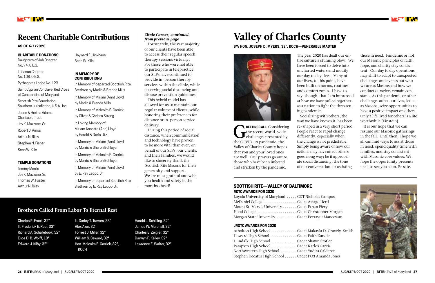#### **CHARITABLE DONATIONS**

Daughters of Job Chapter No. 74, O.E.S. Lebanon Chapter No. 108, O.E.S.

Pythagoras Lodge No. 123

Saint Cyprian Conclave, Red Cross of Constantine of Maryland

Scottish Rite Foundation, Southern Jurisdiction, U.S.A., Inc.

Jesse & Hertha Adams Charitable Trust

Jay K. Mazzone, Sr.

Robert J. Amos

Arthur N. Riley

Stephen N. Fisher

Sean W. Kille

#### **TEMPLE DONATIONS**

Tommy Morris Jay K. Mazzone, Sr. Thomas W. Foster Arthur N. Riley

Hayward F. Hinkhaus Sean W. Kille

#### **IN MEMORY OF CONTRIBUTIONS**

In Memory of departed Scottish Rite Brethren by Marlin & Brenda Mills In Memory of Miriam (Ann) Lloyd by Marlin & Brenda Mills In Memory of Malcolm E. Carrick

by Oliver & Christa Strong In Loving Memory of Miriam Annette (Ann) Lloyd by Harold & Doris Utz

In Memory of Miriam (Ann) Lloyd by Morris & Sharon Bohlayer

In Memory of Malcolm E. Carrick by Morris & Sharon Bohlayer

In Memory of Miriam (Ann) Lloyd by E. Ray Leppo, Jr.

In Memory of departed Scottish Rite Brethren by E. Ray Leppo, Jr.



### Recent Charitable Contributions

**AS OF 6/1/2020**

### Brothers Called From Labor To Eternal Rest

Charles R. Frock, 32° Ill. Frederick E. Reel, 33° Richard A. Schafebook, 32° Enos D. B. Wolff, 18° Edward J. Kilby, 32°

REETINGS ALL. Considering<br>the recent world-wide<br>challenges presented by **REETINGS ALL.** Considering the recent world-wide the COVID-19 pandemic, the Valley of Charles County hopes that you and your loved ones are well. Our prayers go out to those who have been infected and stricken by the pandemic.

Ill. Darley T. Travers, 33° Alex Azar, 32° Forrest J. Miller, 32° William S. Seward, 32° Hon. Malcolm E. Carrick, 32°, KCCH

Harold L. Schilling, 32° James W. Marshall, 32° Charles E. Zeigler, 32° Darwyn F. Kelley, 32° Lawrence E. Walter, 32°

#### *Clinic Corner, continued from previous page*

Fortunately, the vast majority of our clients have been able to access their regular speech therapy sessions virtually. For those who were not able to participate in telepractice, our SLPs have continued to provide in-person therapy services within the clinic, while observing social distancing and disease prevention guidelines.

This hybrid model has allowed for us to maintain our regular volume of clients, while honoring their preferences for distance or in-person service delivery.

During this period of social distance, when communication and technology have proven to be more vital than ever, on behalf of our SLPs, our clients, and their families, we would like to sincerely thank the Scottish Rite Masons for their generosity and support. We are most grateful and wish you health and safety in the months ahead!

## Valley of Charles County **BY: HON. JOSEPH D. MYERS, 32°, KCCH—VENERABLE MASTER**



The year 2020 has dealt our entire culture a stunning blow. We have been forced to delve into uncharted waters and modify our day to day lives. Many of our lives, to this point, have been built on norms, routines and comfort zones. I have to say, though, that I am impressed at how we have pulled together as a nation to fight the threatening pandemic. Socializing with others, the

way we have known it, has been re-shaped in a very short period. of our conversation, or assisting

People react to rapid change differently, especially when the change is not predictable. Simply being aware of how our actions may have affect others goes along way; be it appropriate social distancing, the tone

those in need. Pandemic or not, our Masonic principles of faith, hope, and charity stay consistent. Our day to day operations may shift to adapt to unexpected challenges and events but who we are as Masons and how we conduct ourselves remain constant. As this pandemic or other challenges affect our lives, let us, as Masons, seize opportunities to have a positive impact on others. Only a life lived for others is a life worthwhile (Einstein).

It is our hope that we can resume our Masonic gatherings in the fall. Until then, I hope we all can find ways to assist those in need, spend quality time with families, and stay consistent with Masonic core values. We hope the opportunity presents itself to see you soon. Be safe.

er Morgan Maneewan

). Gravely-Smith nda Jones



#### **SCOTTISH RITE—VALLEY OF BALTIMORE ROTC AWARDS FOR 2020**

| Loyola University of Maryland CDT Nicholas Campos |  |
|---------------------------------------------------|--|
| McDaniel College Cadet Aziago Herd                |  |
| Mount St. Mary's University Cadet Ethan Fiery     |  |
| Hood College Cadet Christopher Mo                 |  |
| Morgan State University  Cadet Peerayut Manee     |  |

#### **JROTC AWARDS FOR 2020**

| Atholton High SchoolCadet Makayla D. Grav        |  |
|--------------------------------------------------|--|
| Howard High School Cadet Faith Kandie            |  |
| Dundalk High SchoolCadet Shawn Stotler           |  |
| Patapsco High SchoolCadet Karlos Garcia          |  |
| Northwestern High School  Cadet Yudira Calderon  |  |
| Stephen Decatur High School Cadet PO3 Amanda Jor |  |

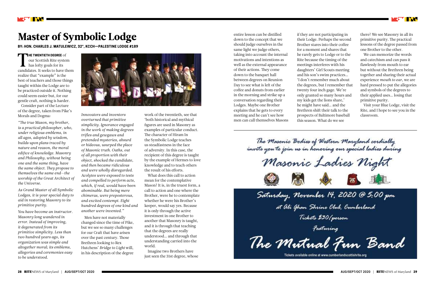**HE TWENTIETH DEGREE** of

T our Scottish Rite system  $\blacksquare$  has lofty goals for its candidates. It seeks to have them realize that "example" is the best of teachers and those things taught within the Lodge are to be practiced outside it. Nothing could seem easier but, for our gentle craft, nothing is harder.

Consider part of the Lecture of the degree, taken from Pike's Morals and Dogma:

*"The true Mason, my brother, is a practical philosopher, who, under religious emblems, in all ages, adopted by wisdom, builds upon plans traced by nature and reason, the moral edifice of knowledge. Masonry and Philosophy, without being one and the same thing, have the same object. They propose to themselves the same end—the worship of the Great Architect of the Universe.*

*As Grand Master of all Symbolic Lodges, it is your special duty to aid in restoring Masonry to its primitive purity.*

*You have become an instructor. Masonry long wandered in error. Instead of improving, it degenerated from its primitive simplicity. Less than two hundred years ago, its organization was simple and altogether moral; its emblems, allegories and ceremonies easy to be understood.*





# Master of Symbolic Lodge

**BY: HON. CHARLES J. MATULEWICZ, 32°, KCCH—PALESTINE LODGE #189**

*Innovators and inventors overturned that primitive simplicity. Ignorance engaged in the work of making degrees trifles and gewgaws and pretended mysteries, absurd or hideous, usurped the place of Masonic truth. Oaths, out of all proportion with their object, shocked the candidate, and then became ridiculous and were wholly disregarded. Acolytes were exposed to tests and compelled to perform acts, which, if real, would have been abominable. But being mere chimeras, were preposterous, and excited contempt. Eight hundred degrees of one kind and another were invented."*

Men have not materially changed since the time of Pike, but we see so many challenges for our Craft that have arisen over the past century. Those Brethren looking to Rex Hutchens' *Bridge to Light* will, in his description of the degree

work of the twentieth, see that 'both historical and mythical figures are used in Masonry as examples of particular conduct. The character of Hiram In the Symbolic Lodge teaches us steadfastness in the face of adversity. In this case, the recipient of this degree is taught by the example of Hermes to love knowledge and to teach others the result of his efforts.

What does this call to action mean for the contemplative Mason? It is, in the truest form, a call to action and one where the Brother, were he to contemplate whether he were his Brother's keeper, would say yes. Because it is only through the active investment in one Brother to another that Masonry is taught, and it is through that teaching that the degrees are really understood… and through that understanding carried into the world.

Imagine two Brothers have just seen the 31st degree, whose entire lesson can be distilled down to the concept that we should judge ourselves in the same light we judge others, taking into account the internal motivations and intentions as well as the external appearance of their actions. They come down to the banquet hall between degrees on Reunion Day to see what is left of the coffee and donuts from earlier in the morning and strike up a conversation regarding their Lodges. Maybe one Brother explains that he gets to every meeting and he can't see how men can call themselves Masons

if they are not participating in their Lodge. Perhaps the second Brother stares into their coffee for a moment and shares that he rarely gets to Lodge or to the Rite because the timing of the meetings interferes with his daughters' Girl Scouts meeting and his son's swim practices… 'I don't remember much about the degrees, but I remember that twenty four inch gage. We're only granted so many hours and my kids get the lions share,' he might have said… and the Brethren shift their talk to the prospects of Baltimore baseball this season. What do we see



there? We see Masonry in all its primitive purity. The practical lessons of the degree passed from one Brother to the other.

We can memorize the words and catechism and can pass it flawlessly from mouth to ear but without the Brethren being together and sharing their actual experience *mouth to ear,* we are hard pressed to put the allegories and symbols of the degrees to their applied uses… losing that primitive purity.

Visit your Blue Lodge, visit the Rite, and I hope to see you in the classroom.

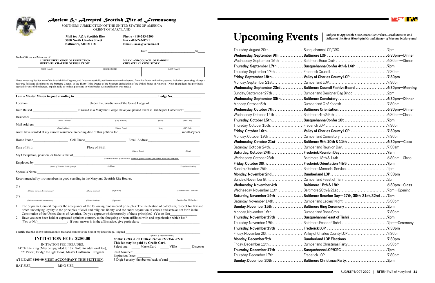| Thursday, August 20th………………………Susquehanna LOP/CRC……………………………………7pm                 |                 |
|------------------------------------------------------------------------------------|-----------------|
|                                                                                    |                 |
|                                                                                    |                 |
| Thursday, September 17th. Susquehanna Confer 4th & 14th 7pm                        |                 |
|                                                                                    |                 |
|                                                                                    |                 |
|                                                                                    |                 |
| Wednesday, September 23rd Baltimore Council Festive Board ………………………6:30pm—Meeting  |                 |
| Sunday, September 27th Cumberland Designer Bag Bingo 2pm                           |                 |
|                                                                                    |                 |
|                                                                                    |                 |
|                                                                                    |                 |
|                                                                                    |                 |
|                                                                                    |                 |
|                                                                                    |                 |
|                                                                                    |                 |
|                                                                                    |                 |
| Wednesday, October 21st ………………… Baltimore 9th, 10th & 11th ………………………… 6:30pm—Class |                 |
| Saturday, October 24thCumberland Reunion Day7:30am                                 |                 |
|                                                                                    |                 |
|                                                                                    |                 |
|                                                                                    |                 |
|                                                                                    |                 |
|                                                                                    |                 |
|                                                                                    |                 |
|                                                                                    |                 |
|                                                                                    |                 |
| Saturday, November 14th  Baltimore Reunion Day—27th, 30th, 31st, 32nd  7am         |                 |
|                                                                                    |                 |
|                                                                                    |                 |
|                                                                                    |                 |
|                                                                                    |                 |
|                                                                                    |                 |
|                                                                                    |                 |
|                                                                                    |                 |
|                                                                                    |                 |
|                                                                                    |                 |
|                                                                                    |                 |
|                                                                                    |                 |
|                                                                                    | 2 <sub>nm</sub> |

| Thursday, September 17th. Susquehanna Confer 4th & 14th 7pm               |  |
|---------------------------------------------------------------------------|--|
|                                                                           |  |
| Friday, September 18th Valley of Charles County LOP 7:30pm                |  |
|                                                                           |  |
| Wednesday, September 23rd  Baltimore Council Festive Board  6:30pm-Meetin |  |
| Sunday, September 27th Cumberland Designer Bag Bingo 2pm                  |  |
|                                                                           |  |
|                                                                           |  |
|                                                                           |  |
|                                                                           |  |
|                                                                           |  |
|                                                                           |  |
| Friday, October 16th Valley of Charles County LOP 7:30pm                  |  |
|                                                                           |  |
| Wednesday, October 21st  Baltimore 9th, 10th & 11th 6:30pm—Class          |  |
|                                                                           |  |
|                                                                           |  |
|                                                                           |  |
|                                                                           |  |
| Sunday, October 25thBaltimore Memorial Service2pm                         |  |
|                                                                           |  |
|                                                                           |  |
|                                                                           |  |
|                                                                           |  |
| Saturday, November 14th  Baltimore Reunion Day-27th, 30th, 31st, 32nd 7am |  |
| Saturday, November 14thCumberland Ladies' Night5:30pm                     |  |
| Sunday, November 15th  Baltimore Ring Ceremony 2pm                        |  |
|                                                                           |  |
| Thursday, November 19th  Susquehanna Feast of Tishri7pm                   |  |
|                                                                           |  |
|                                                                           |  |
| Friday, November 20thValley of Charles County LOP7:30pm                   |  |
| Monday, December 7th Cumberland LOP Elections 7:30pm                      |  |
|                                                                           |  |
|                                                                           |  |
|                                                                           |  |
| Sunday, December 20th  Baltimore Christmas Party2pm                       |  |



 *MAKE CHECK PAYABLE TO: SCOTTISH RITE* **This fee may be paid by Credit Card.** Select one: \_\_\_\_\_ MasterCard \_\_\_\_\_ VISA \_\_\_\_\_ Discover

Expiration Date:  $\frac{3 \text{ Digit Security Number on back of card}}{2 \text{ digit} 2 \text{ (a) } 1}$ 

Card Number:



### *Ancient & Accepted Scottish Rite of Freemasonry*

SOUTHERN JURISDICTION OF THE UNITED STATES OF AMERICA ORIENT OF MARYLAND

**Mail to: A&A Scottish Rite Phone - 410-243-3200**<br>3800 North Charles Street Fax - 410-243-8791 **3800 North Charles Street<br>Baltimore, MD 21218** 

 **Baltimore, MD 21218 Email - aasr@verizon.net**

|                                                                                                                                                                                                                                                                                                                                                                                                                                                                                               |                  |                    | $\frac{\mu}{\mu}$                                                                                 |                           |  |
|-----------------------------------------------------------------------------------------------------------------------------------------------------------------------------------------------------------------------------------------------------------------------------------------------------------------------------------------------------------------------------------------------------------------------------------------------------------------------------------------------|------------------|--------------------|---------------------------------------------------------------------------------------------------|---------------------------|--|
|                                                                                                                                                                                                                                                                                                                                                                                                                                                                                               |                  |                    |                                                                                                   | 20                        |  |
| To the Officers and Members of:<br><b>ALBERT PIKE LODGE OF PERFECTION</b><br><b>MEREDITH CHAPTER OF ROSE CROIX</b>                                                                                                                                                                                                                                                                                                                                                                            |                  |                    | MARYLAND COUNCIL OF KADOSH<br><b>CHESAPEAKE CONSISTORY</b>                                        |                           |  |
| <b>FIRST NAME</b>                                                                                                                                                                                                                                                                                                                                                                                                                                                                             |                  | <b>MIDDLE NAME</b> |                                                                                                   | <b>LAST NAME</b>          |  |
| I have never applied for any of the Scottish Rite Degrees, and I now respectfully petition to receive the degrees, from the fourth to the thirty-second inclusive, promising always to<br>bear true faith and allegiance to the Supreme Council of the Thirty-Third Degree of the Southern Jurisdiction of the United States of America. (Note: If applicant has previously<br>applied for any of the degrees, explain fully as to date, place and to what bodies such application was made.) |                  |                    |                                                                                                   |                           |  |
| I am a Master Mason in good standing in the contract of the contract of the contract of the Lodge No.                                                                                                                                                                                                                                                                                                                                                                                         |                  |                    |                                                                                                   |                           |  |
|                                                                                                                                                                                                                                                                                                                                                                                                                                                                                               |                  |                    |                                                                                                   |                           |  |
|                                                                                                                                                                                                                                                                                                                                                                                                                                                                                               |                  |                    |                                                                                                   |                           |  |
|                                                                                                                                                                                                                                                                                                                                                                                                                                                                                               |                  |                    |                                                                                                   |                           |  |
| (Street Address)                                                                                                                                                                                                                                                                                                                                                                                                                                                                              |                  | (City or Town)     | (State)                                                                                           | (ZIP Code)                |  |
| Mail Address                                                                                                                                                                                                                                                                                                                                                                                                                                                                                  | (Street Address) | (City or Town)     | (State)                                                                                           | (ZIP Code)                |  |
| And I have resided at my current residence preceding date of this petition for                                                                                                                                                                                                                                                                                                                                                                                                                |                  |                    |                                                                                                   | months/years.             |  |
| Home Phone Cell Phone Cell Phone Email Address                                                                                                                                                                                                                                                                                                                                                                                                                                                |                  |                    |                                                                                                   |                           |  |
| Date of Birth $\frac{1}{\sqrt{(City or Town)}}$                                                                                                                                                                                                                                                                                                                                                                                                                                               |                  |                    |                                                                                                   |                           |  |
|                                                                                                                                                                                                                                                                                                                                                                                                                                                                                               |                  |                    |                                                                                                   | (State)                   |  |
| My Occupation, position, or trade is that of                                                                                                                                                                                                                                                                                                                                                                                                                                                  |                  |                    | (State fully nature of your duties. If retired, please indicate your former duties and employer.) |                           |  |
|                                                                                                                                                                                                                                                                                                                                                                                                                                                                                               |                  | (Address)          |                                                                                                   |                           |  |
| (Name of Firm or Gov't Agency)                                                                                                                                                                                                                                                                                                                                                                                                                                                                |                  |                    |                                                                                                   | (Telephone Number)        |  |
| Spouse's Name                                                                                                                                                                                                                                                                                                                                                                                                                                                                                 |                  |                    |                                                                                                   |                           |  |
| Recommended by two members in good standing in the Maryland Scottish Rite Bodies,                                                                                                                                                                                                                                                                                                                                                                                                             |                  |                    |                                                                                                   |                           |  |
| (1)<br><u> 2000 - Jan James James James James James James James James James James James James James James James James J</u>                                                                                                                                                                                                                                                                                                                                                                   |                  |                    |                                                                                                   |                           |  |
| (Printed name of Recommender)                                                                                                                                                                                                                                                                                                                                                                                                                                                                 | (Phone Number)   | (Signature)        |                                                                                                   | (Scottish Rite ID Number) |  |
| (2)<br><u> 1989 - Jan Samuel Barbara, margaret eta idazlea (h. 1982).</u>                                                                                                                                                                                                                                                                                                                                                                                                                     |                  |                    |                                                                                                   |                           |  |
| (Printed name of Recommender)<br>1. The Supreme Council requires the acceptance of the following fundamental principles: The inculcation of patriotism, respect for law and<br>order, underlying loyalty to the principles of civil and religious liberty, and the entire separation of church and state as set forth in the<br>Constitution of the United States of America. Do you approve wholeheartedly of these principles? (Yes or No)                                                  | (Phone Number)   | (Signature)        |                                                                                                   | (Scottish Rite ID Number) |  |
| Have you ever been held or expressed opinions contrary to the foregoing or been affiliated with and organization which has?<br>2.<br>(Yes or No) : If your answer is in the affirmative, give particulars:                                                                                                                                                                                                                                                                                    |                  |                    |                                                                                                   |                           |  |
| I certify that the above information is true and correct to the best of my knowledge. Signed                                                                                                                                                                                                                                                                                                                                                                                                  |                  |                    |                                                                                                   |                           |  |
|                                                                                                                                                                                                                                                                                                                                                                                                                                                                                               |                  |                    | (Signature of Applicant in Full)                                                                  |                           |  |

 14° Trilite Ring (May be upgraded to 10K Gold for additional fee), 32° Patent, Bridge to Light Book, Master Craftsman I Program

#### **AT LEAST \$100.00 MUST ACCOMPANY THIS PETITION.**

HAT SIZE RING SIZE

# Upcoming Events **Manual State Executive Orders, Local Statutes and Master of Masons in Maryland**

#### **INITIATION FEE: \$250.00**  INITIATION FEE INCLUDES: